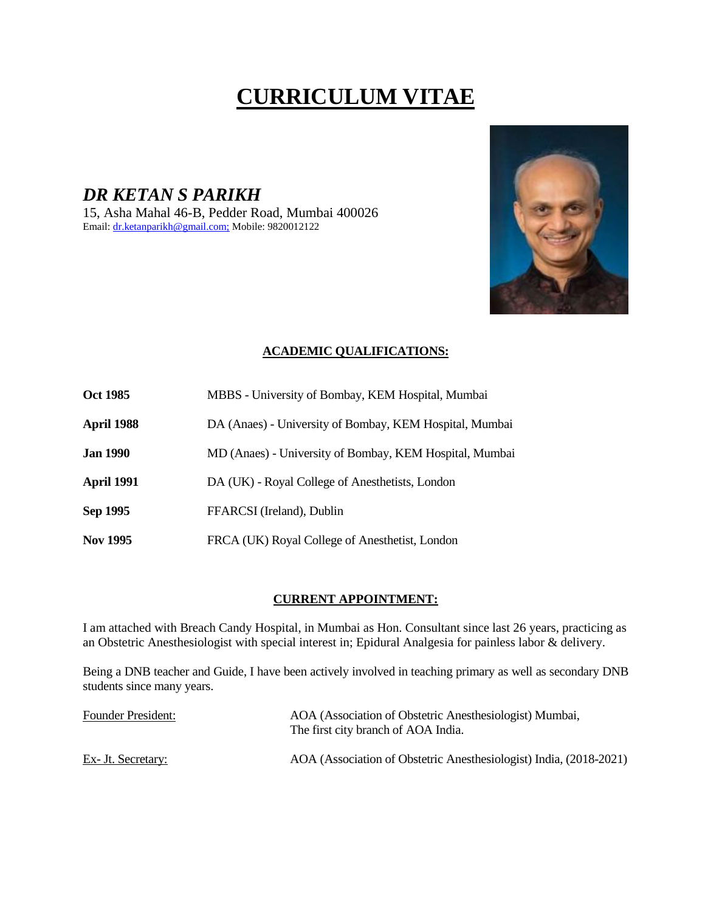# **CURRICULUM VITAE**

*DR KETAN S PARIKH* 15, Asha Mahal 46-B, Pedder Road, Mumbai 400026 Email: [dr.ketanparikh@gmail.com;](mailto:dr.ketanparikh@gmail.com;) Mobile: 9820012122



## **ACADEMIC QUALIFICATIONS:**

- **Oct 1985** MBBS University of Bombay, KEM Hospital, Mumbai
- **April 1988** DA (Anaes) University of Bombay, KEM Hospital, Mumbai
- **Jan 1990** MD (Anaes) University of Bombay, KEM Hospital, Mumbai
- **April 1991** DA (UK) Royal College of Anesthetists, London
- **Sep 1995** FFARCSI (Ireland), Dublin
- **Nov 1995** FRCA (UK) Royal College of Anesthetist, London

### **CURRENT APPOINTMENT:**

I am attached with Breach Candy Hospital, in Mumbai as Hon. Consultant since last 26 years, practicing as an Obstetric Anesthesiologist with special interest in; Epidural Analgesia for painless labor & delivery.

Being a DNB teacher and Guide, I have been actively involved in teaching primary as well as secondary DNB students since many years.

| <b>Founder President:</b> | AOA (Association of Obstetric Anesthesiologist) Mumbai,<br>The first city branch of AOA India. |
|---------------------------|------------------------------------------------------------------------------------------------|
| Ex- Jt. Secretary:        | AOA (Association of Obstetric Anesthesiologist) India, (2018-2021)                             |